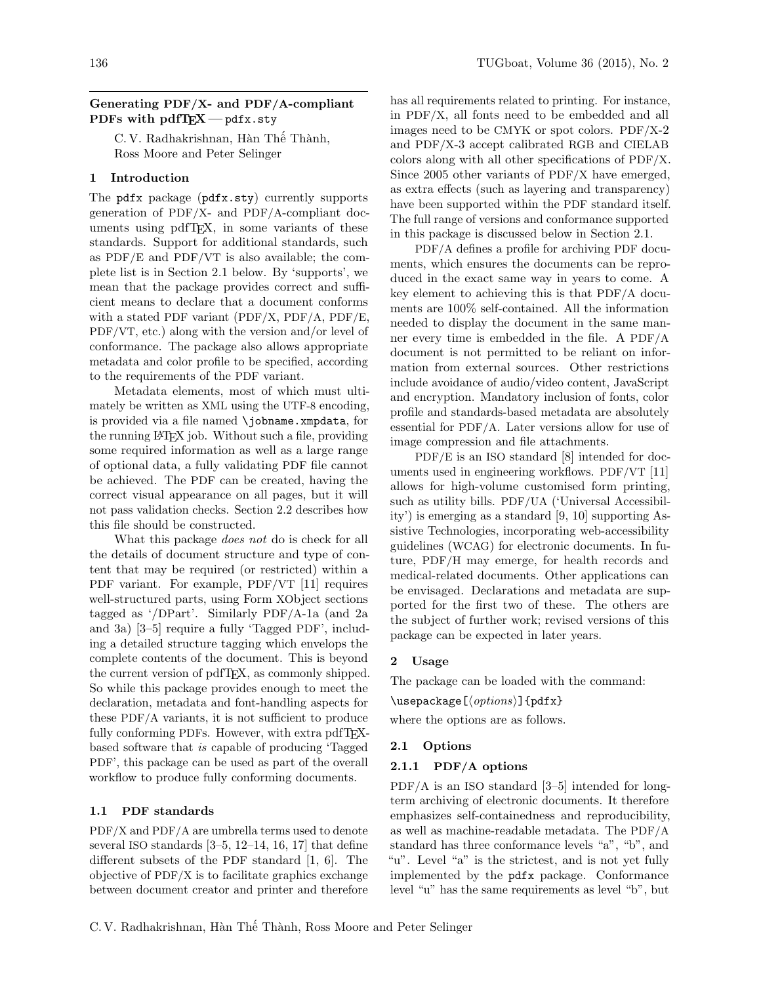# Generating PDF/X- and PDF/A-compliant PDFs with pdfTEX - pdfx.sty

C. V. Radhakrishnan, Hàn Thế Thành, Ross Moore and Peter Selinger

# 1 Introduction

The pdfx package (pdfx.sty) currently supports generation of PDF/X- and PDF/A-compliant documents using pdfTEX, in some variants of these standards. Support for additional standards, such as PDF/E and PDF/VT is also available; the complete list is in Section [2.1](#page-0-0) below. By 'supports', we mean that the package provides correct and sufficient means to declare that a document conforms with a stated PDF variant (PDF/X, PDF/A, PDF/E, PDF/VT, etc.) along with the version and/or level of conformance. The package also allows appropriate metadata and color profile to be specified, according to the requirements of the PDF variant.

Metadata elements, most of which must ultimately be written as XML using the UTF-8 encoding, is provided via a file named \jobname.xmpdata, for the running LATEX job. Without such a file, providing some required information as well as a large range of optional data, a fully validating PDF file cannot be achieved. The PDF can be created, having the correct visual appearance on all pages, but it will not pass validation checks. Section [2.2](#page-2-0) describes how this file should be constructed.

What this package does not do is check for all the details of document structure and type of content that may be required (or restricted) within a PDF variant. For example, PDF/VT [\[11\]](#page-6-0) requires well-structured parts, using Form XObject sections tagged as '/DPart'. Similarly PDF/A-1a (and 2a and 3a) [\[3](#page-5-0)[–5\]](#page-6-1) require a fully 'Tagged PDF', including a detailed structure tagging which envelops the complete contents of the document. This is beyond the current version of pdfTEX, as commonly shipped. So while this package provides enough to meet the declaration, metadata and font-handling aspects for these PDF/A variants, it is not sufficient to produce fully conforming PDFs. However, with extra pdfT<sub>F</sub>Xbased software that is capable of producing 'Tagged PDF', this package can be used as part of the overall workflow to produce fully conforming documents.

# 1.1 PDF standards

PDF/X and PDF/A are umbrella terms used to denote several ISO standards  $[3-5, 12-14, 16, 17]$  $[3-5, 12-14, 16, 17]$  $[3-5, 12-14, 16, 17]$  $[3-5, 12-14, 16, 17]$  $[3-5, 12-14, 16, 17]$  $[3-5, 12-14, 16, 17]$  $[3-5, 12-14, 16, 17]$  $[3-5, 12-14, 16, 17]$  that define different subsets of the PDF standard [\[1,](#page-5-1) [6\]](#page-6-6). The objective of PDF/X is to facilitate graphics exchange between document creator and printer and therefore

has all requirements related to printing. For instance, in PDF/X, all fonts need to be embedded and all images need to be CMYK or spot colors. PDF/X-2 and PDF/X-3 accept calibrated RGB and CIELAB colors along with all other specifications of PDF/X. Since 2005 other variants of PDF/X have emerged, as extra effects (such as layering and transparency) have been supported within the PDF standard itself. The full range of versions and conformance supported in this package is discussed below in Section [2.1.](#page-0-0)

PDF/A defines a profile for archiving PDF documents, which ensures the documents can be reproduced in the exact same way in years to come. A key element to achieving this is that PDF/A documents are 100% self-contained. All the information needed to display the document in the same manner every time is embedded in the file. A PDF/A document is not permitted to be reliant on information from external sources. Other restrictions include avoidance of audio/video content, JavaScript and encryption. Mandatory inclusion of fonts, color profile and standards-based metadata are absolutely essential for PDF/A. Later versions allow for use of image compression and file attachments.

PDF/E is an ISO standard [\[8\]](#page-6-7) intended for documents used in engineering workflows. PDF/VT [\[11\]](#page-6-0) allows for high-volume customised form printing, such as utility bills. PDF/UA ('Universal Accessibility') is emerging as a standard [\[9,](#page-6-8) [10\]](#page-6-9) supporting Assistive Technologies, incorporating web-accessibility guidelines (WCAG) for electronic documents. In future, PDF/H may emerge, for health records and medical-related documents. Other applications can be envisaged. Declarations and metadata are supported for the first two of these. The others are the subject of further work; revised versions of this package can be expected in later years.

#### 2 Usage

The package can be loaded with the command:

 $\text{luseppe}[\langle options\rangle]{\forall}$ 

where the options are as follows.

#### <span id="page-0-0"></span>2.1 Options

#### 2.1.1 PDF/A options

 $PDF/A$  is an ISO standard  $[3-5]$  $[3-5]$  intended for longterm archiving of electronic documents. It therefore emphasizes self-containedness and reproducibility, as well as machine-readable metadata. The PDF/A standard has three conformance levels "a", "b", and "u". Level "a" is the strictest, and is not yet fully implemented by the pdfx package. Conformance level "u" has the same requirements as level "b", but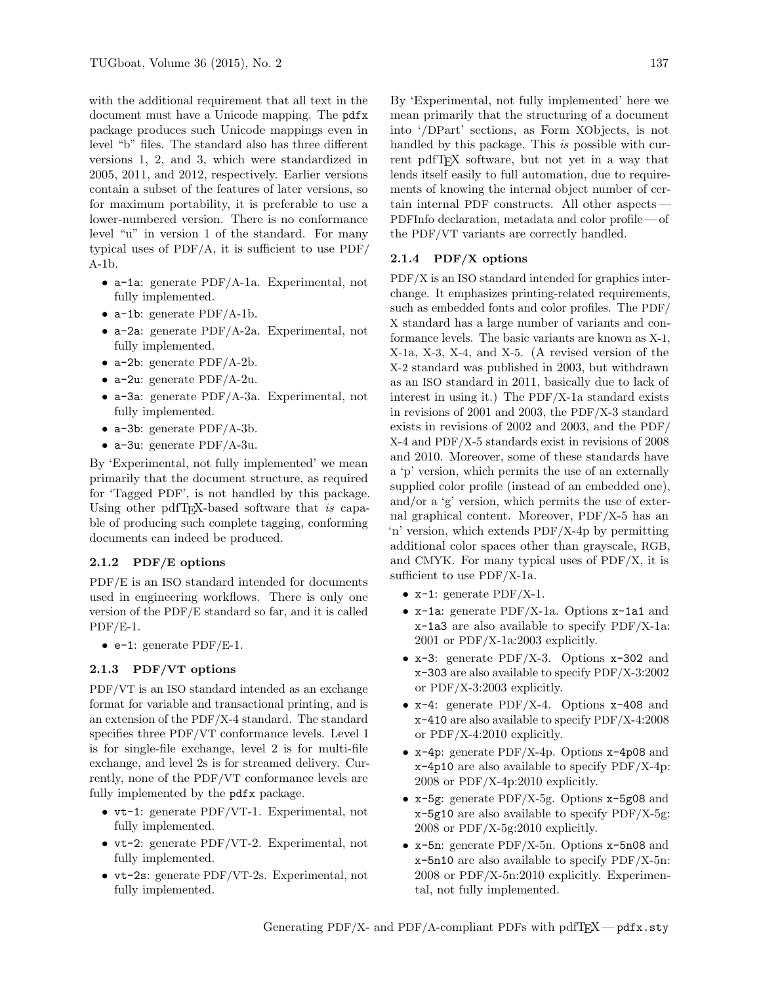with the additional requirement that all text in the document must have a Unicode mapping. The pdfx package produces such Unicode mappings even in level "b" files. The standard also has three different versions 1, 2, and 3, which were standardized in 2005, 2011, and 2012, respectively. Earlier versions contain a subset of the features of later versions, so for maximum portability, it is preferable to use a lower-numbered version. There is no conformance level "u" in version 1 of the standard. For many typical uses of PDF/A, it is sufficient to use PDF/ A-1b.

- a-1a: generate PDF/A-1a. Experimental, not fully implemented.
- a-1b: generate PDF/A-1b.
- a-2a: generate PDF/A-2a. Experimental, not fully implemented.
- a-2b: generate PDF/A-2b.
- a-2u: generate PDF/A-2u.
- a-3a: generate PDF/A-3a. Experimental, not fully implemented.
- a-3b: generate PDF/A-3b.
- a-3u: generate PDF/A-3u.

By 'Experimental, not fully implemented' we mean primarily that the document structure, as required for 'Tagged PDF', is not handled by this package. Using other pdfT<sub>EX</sub>-based software that is capable of producing such complete tagging, conforming documents can indeed be produced.

### 2.1.2 PDF/E options

PDF/E is an ISO standard intended for documents used in engineering workflows. There is only one version of the PDF/E standard so far, and it is called PDF/E-1.

• e-1: generate  $PDF/E-1$ .

### 2.1.3 PDF/VT options

PDF/VT is an ISO standard intended as an exchange format for variable and transactional printing, and is an extension of the PDF/X-4 standard. The standard specifies three PDF/VT conformance levels. Level 1 is for single-file exchange, level 2 is for multi-file exchange, and level 2s is for streamed delivery. Currently, none of the PDF/VT conformance levels are fully implemented by the pdfx package.

- vt-1: generate PDF/VT-1. Experimental, not fully implemented.
- vt-2: generate PDF/VT-2. Experimental, not fully implemented.
- vt-2s: generate PDF/VT-2s. Experimental, not fully implemented.

By 'Experimental, not fully implemented' here we mean primarily that the structuring of a document into '/DPart' sections, as Form XObjects, is not handled by this package. This is possible with current pdfT<sub>F</sub>X software, but not yet in a way that lends itself easily to full automation, due to requirements of knowing the internal object number of certain internal PDF constructs. All other aspects— PDFInfo declaration, metadata and color profile — of the PDF/VT variants are correctly handled.

#### 2.1.4 PDF/X options

PDF/X is an ISO standard intended for graphics interchange. It emphasizes printing-related requirements, such as embedded fonts and color profiles. The PDF/ X standard has a large number of variants and conformance levels. The basic variants are known as X-1, X-1a, X-3, X-4, and X-5. (A revised version of the X-2 standard was published in 2003, but withdrawn as an ISO standard in 2011, basically due to lack of interest in using it.) The PDF/X-1a standard exists in revisions of 2001 and 2003, the PDF/X-3 standard exists in revisions of 2002 and 2003, and the PDF/ X-4 and PDF/X-5 standards exist in revisions of 2008 and 2010. Moreover, some of these standards have a 'p' version, which permits the use of an externally supplied color profile (instead of an embedded one), and/or a 'g' version, which permits the use of external graphical content. Moreover, PDF/X-5 has an 'n' version, which extends PDF/X-4p by permitting additional color spaces other than grayscale, RGB, and CMYK. For many typical uses of PDF/X, it is sufficient to use PDF/X-1a.

- $x-1$ : generate PDF/X-1.
- x-1a: generate PDF/X-1a. Options x-1a1 and x-1a3 are also available to specify PDF/X-1a: 2001 or PDF/X-1a:2003 explicitly.
- x-3: generate PDF/X-3. Options x-302 and x-303 are also available to specify PDF/X-3:2002 or PDF/X-3:2003 explicitly.
- x-4: generate PDF/X-4. Options x-408 and x-410 are also available to specify PDF/X-4:2008 or PDF/X-4:2010 explicitly.
- x-4p: generate PDF/X-4p. Options x-4p08 and x-4p10 are also available to specify PDF/X-4p: 2008 or PDF/X-4p:2010 explicitly.
- x-5g: generate PDF/X-5g. Options x-5g08 and x-5g10 are also available to specify PDF/X-5g: 2008 or PDF/X-5g:2010 explicitly.
- x-5n: generate PDF/X-5n. Options x-5n08 and x-5n10 are also available to specify PDF/X-5n: 2008 or PDF/X-5n:2010 explicitly. Experimental, not fully implemented.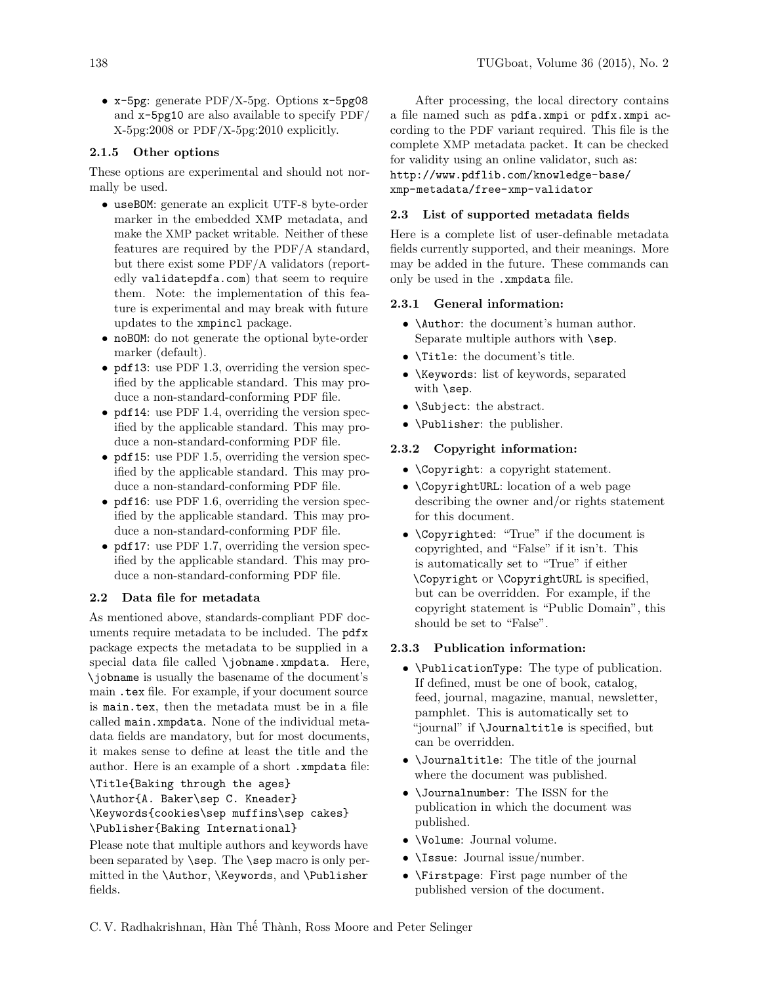• x-5pg: generate PDF/X-5pg. Options x-5pg08 and x-5pg10 are also available to specify PDF/ X-5pg:2008 or PDF/X-5pg:2010 explicitly.

### 2.1.5 Other options

These options are experimental and should not normally be used.

- useBOM: generate an explicit UTF-8 byte-order marker in the embedded XMP metadata, and make the XMP packet writable. Neither of these features are required by the PDF/A standard, but there exist some PDF/A validators (reportedly validatepdfa.com) that seem to require them. Note: the implementation of this feature is experimental and may break with future updates to the xmpincl package.
- noBOM: do not generate the optional byte-order marker (default).
- pdf13: use PDF 1.3, overriding the version specified by the applicable standard. This may produce a non-standard-conforming PDF file.
- pdf14: use PDF 1.4, overriding the version specified by the applicable standard. This may produce a non-standard-conforming PDF file.
- pdf15: use PDF 1.5, overriding the version specified by the applicable standard. This may produce a non-standard-conforming PDF file.
- pdf16: use PDF 1.6, overriding the version specified by the applicable standard. This may produce a non-standard-conforming PDF file.
- pdf17: use PDF 1.7, overriding the version specified by the applicable standard. This may produce a non-standard-conforming PDF file.

# <span id="page-2-0"></span>2.2 Data file for metadata

As mentioned above, standards-compliant PDF documents require metadata to be included. The pdfx package expects the metadata to be supplied in a special data file called \jobname.xmpdata. Here, \jobname is usually the basename of the document's main .tex file. For example, if your document source is main.tex, then the metadata must be in a file called main.xmpdata. None of the individual metadata fields are mandatory, but for most documents, it makes sense to define at least the title and the author. Here is an example of a short .xmpdata file: \Title{Baking through the ages}

\Author{A. Baker\sep C. Kneader}

\Keywords{cookies\sep muffins\sep cakes} \Publisher{Baking International}

Please note that multiple authors and keywords have been separated by **\sep**. The **\sep** macro is only permitted in the \Author, \Keywords, and \Publisher fields.

After processing, the local directory contains a file named such as pdfa.xmpi or pdfx.xmpi according to the PDF variant required. This file is the complete XMP metadata packet. It can be checked for validity using an online validator, such as: [http://www.pdflib.com/knowledge-base/](http://www.pdflib.com/knowledge-base/!xmp-metadata/free-xmp-validator) [xmp-metadata/free-xmp-validator](http://www.pdflib.com/knowledge-base/!xmp-metadata/free-xmp-validator)

#### 2.3 List of supported metadata fields

Here is a complete list of user-definable metadata fields currently supported, and their meanings. More may be added in the future. These commands can only be used in the .xmpdata file.

# 2.3.1 General information:

- \Author: the document's human author. Separate multiple authors with \sep.
- \Title: the document's title.
- \Keywords: list of keywords, separated with \sep.
- \Subject: the abstract.
- \Publisher: the publisher.

#### 2.3.2 Copyright information:

- \Copyright: a copyright statement.
- \CopyrightURL: location of a web page describing the owner and/or rights statement for this document.
- \Copyrighted: "True" if the document is copyrighted, and "False" if it isn't. This is automatically set to "True" if either \Copyright or \CopyrightURL is specified, but can be overridden. For example, if the copyright statement is "Public Domain", this should be set to "False".

### 2.3.3 Publication information:

- \PublicationType: The type of publication. If defined, must be one of book, catalog, feed, journal, magazine, manual, newsletter, pamphlet. This is automatically set to "journal" if \Journaltitle is specified, but can be overridden.
- \Journaltitle: The title of the journal where the document was published.
- \Journalnumber: The ISSN for the publication in which the document was published.
- \Volume: Journal volume.
- \Issue: Journal issue/number.
- \Firstpage: First page number of the published version of the document.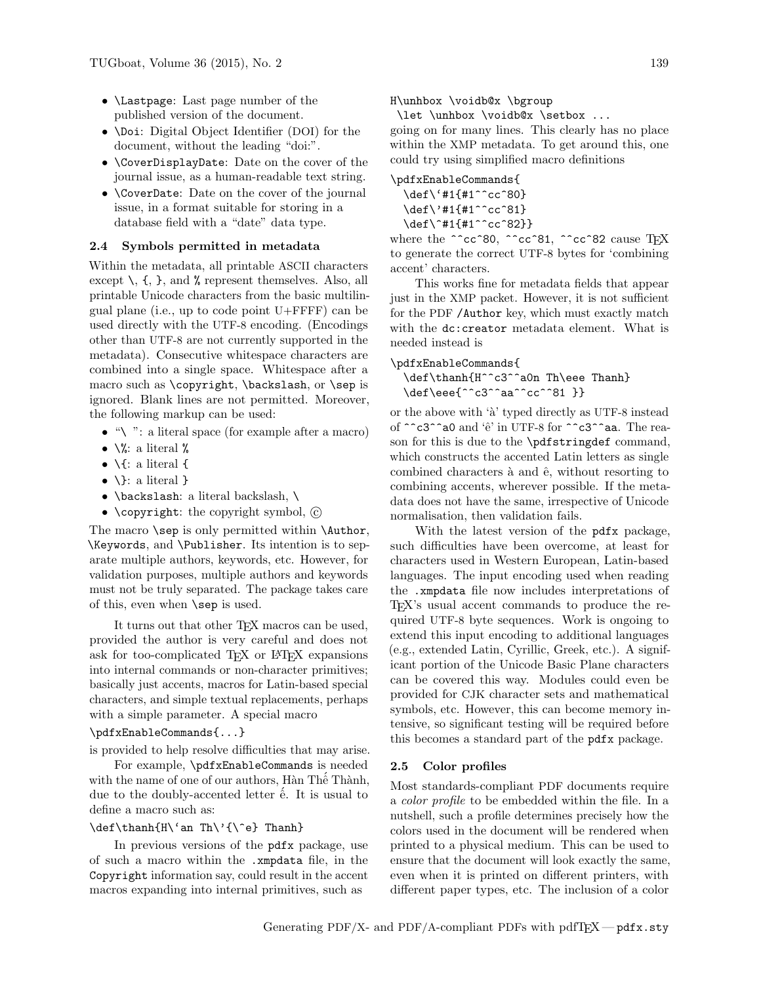- \Lastpage: Last page number of the published version of the document.
- \Doi: Digital Object Identifier (DOI) for the document, without the leading "doi:".
- \CoverDisplayDate: Date on the cover of the journal issue, as a human-readable text string.
- \CoverDate: Date on the cover of the journal issue, in a format suitable for storing in a database field with a "date" data type.

### 2.4 Symbols permitted in metadata

Within the metadata, all printable ASCII characters except  $\setminus$ ,  $\{$ ,  $\}$ , and  $\%$  represent themselves. Also, all printable Unicode characters from the basic multilingual plane (i.e., up to code point U+FFFF) can be used directly with the UTF-8 encoding. (Encodings other than UTF-8 are not currently supported in the metadata). Consecutive whitespace characters are combined into a single space. Whitespace after a macro such as \copyright, \backslash, or \sep is ignored. Blank lines are not permitted. Moreover, the following markup can be used:

- $\bullet$  " $\backslash$ ": a literal space (for example after a macro)
- $\sqrt{\ }$ : a literal %
- $\bullet$  \{: a literal {
- $\{\}$ : a literal }
- \backslash: a literal backslash, \
- \copyright: the copyright symbol,  $\odot$

The macro **\sep** is only permitted within **\Author**, \Keywords, and \Publisher. Its intention is to separate multiple authors, keywords, etc. However, for validation purposes, multiple authors and keywords must not be truly separated. The package takes care of this, even when \sep is used.

It turns out that other T<sub>F</sub>X macros can be used, provided the author is very careful and does not ask for too-complicated T<sub>EX</sub> or LAT<sub>EX</sub> expansions into internal commands or non-character primitives; basically just accents, macros for Latin-based special characters, and simple textual replacements, perhaps with a simple parameter. A special macro

### \pdfxEnableCommands{...}

is provided to help resolve difficulties that may arise.

For example, \pdfxEnableCommands is needed with the name of one of our authors, Hàn Thế Thành, due to the doubly-accented letter  $\acute{\text{e}}$ . It is usual to define a macro such as:

# \def\thanh{H\'an Th\'{\^e} Thanh}

In previous versions of the pdfx package, use of such a macro within the .xmpdata file, in the Copyright information say, could result in the accent macros expanding into internal primitives, such as

#### H\unhbox \voidb@x \bgroup

\let \unhbox \voidb@x \setbox ...

going on for many lines. This clearly has no place within the XMP metadata. To get around this, one could try using simplified macro definitions

# \pdfxEnableCommands{ \def\'#1{#1^^cc^80}

\def\'#1{#1^^cc^81} \def\^#1{#1^^cc^82}}

where the ^^cc^80, ^^cc^81, ^^cc^82 cause TEX to generate the correct UTF-8 bytes for 'combining accent' characters.

This works fine for metadata fields that appear just in the XMP packet. However, it is not sufficient for the PDF /Author key, which must exactly match with the dc:creator metadata element. What is needed instead is

#### \pdfxEnableCommands{

\def\thanh{H^^c3^^a0n Th\eee Thanh} \def\eee{^^c3^^aa^^cc^^81 }}

or the above with  $\hat{a}'$  typed directly as UTF-8 instead of ^^c3^^a0 and 'ê' in UTF-8 for ^^c3^^aa. The reason for this is due to the \pdfstringdef command, which constructs the accented Latin letters as single combined characters à and  $\hat{e}$ , without resorting to combining accents, wherever possible. If the metadata does not have the same, irrespective of Unicode normalisation, then validation fails.

With the latest version of the pdfx package, such difficulties have been overcome, at least for characters used in Western European, Latin-based languages. The input encoding used when reading the .xmpdata file now includes interpretations of TEX's usual accent commands to produce the required UTF-8 byte sequences. Work is ongoing to extend this input encoding to additional languages (e.g., extended Latin, Cyrillic, Greek, etc.). A significant portion of the Unicode Basic Plane characters can be covered this way. Modules could even be provided for CJK character sets and mathematical symbols, etc. However, this can become memory intensive, so significant testing will be required before this becomes a standard part of the pdfx package.

#### 2.5 Color profiles

Most standards-compliant PDF documents require a color profile to be embedded within the file. In a nutshell, such a profile determines precisely how the colors used in the document will be rendered when printed to a physical medium. This can be used to ensure that the document will look exactly the same, even when it is printed on different printers, with different paper types, etc. The inclusion of a color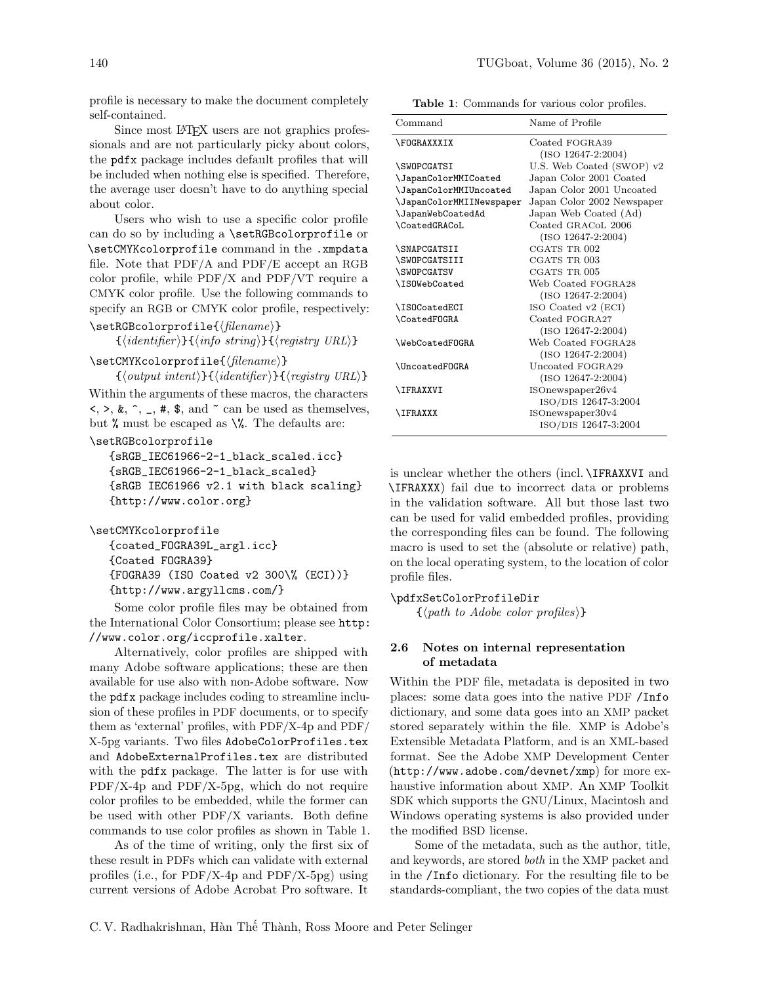profile is necessary to make the document completely self-contained.

Since most L<sup>AT</sup>EX users are not graphics professionals and are not particularly picky about colors, the pdfx package includes default profiles that will be included when nothing else is specified. Therefore, the average user doesn't have to do anything special about color.

Users who wish to use a specific color profile can do so by including a \setRGBcolorprofile or \setCMYKcolorprofile command in the .xmpdata file. Note that PDF/A and PDF/E accept an RGB color profile, while PDF/X and PDF/VT require a CMYK color profile. Use the following commands to specify an RGB or CMYK color profile, respectively:  $\setminus$ setRGBcolorprofile{ $\{filename\}$ }

 $\{\langle \text{identity } \rangle\}\{\langle \text{info string} \rangle\}\{\langle \text{register } \rangle\}$ 

 $\setminus$ setCMYKcolorprofile{ $\langle filename \rangle$ }

 ${\lbrace \langle output\ intent \rangle}{\lbrace \langle identifier \rangle}{\lbrace \langle registry\ URL \rangle}$ Within the arguments of these macros, the characters  $\langle \rangle$ ,  $\rangle$ ,  $\&$ ,  $\hat{\ }$ ,  $\angle$ ,  $\#$ ,  $\$\$ , and  $\hat{\ }$  can be used as themselves, but % must be escaped as  $\%$ . The defaults are:

#### \setRGBcolorprofile

{sRGB\_IEC61966-2-1\_black\_scaled.icc} {sRGB\_IEC61966-2-1\_black\_scaled} {sRGB IEC61966 v2.1 with black scaling} {http://www.color.org}

\setCMYKcolorprofile

{coated\_FOGRA39L\_argl.icc} {Coated FOGRA39} {FOGRA39 (ISO Coated v2 300\% (ECI))} {http://www.argyllcms.com/}

Some color profile files may be obtained from the International Color Consortium; please see [http:](http://www.color.org/iccprofile.xalter) [//www.color.org/iccprofile.xalter](http://www.color.org/iccprofile.xalter).

Alternatively, color profiles are shipped with many Adobe software applications; these are then available for use also with non-Adobe software. Now the pdfx package includes coding to streamline inclusion of these profiles in PDF documents, or to specify them as 'external' profiles, with PDF/X-4p and PDF/ X-5pg variants. Two files AdobeColorProfiles.tex and AdobeExternalProfiles.tex are distributed with the pdfx package. The latter is for use with PDF/X-4p and PDF/X-5pg, which do not require color profiles to be embedded, while the former can be used with other PDF/X variants. Both define commands to use color profiles as shown in Table [1.](#page-4-0)

As of the time of writing, only the first six of these result in PDFs which can validate with external profiles (i.e., for PDF/X-4p and PDF/X-5pg) using current versions of Adobe Acrobat Pro software. It

<span id="page-4-0"></span>Table 1: Commands for various color profiles.

| Command                  | Name of Profile            |
|--------------------------|----------------------------|
| <b>\FOGRAXXXIX</b>       | Coated FOGRA39             |
|                          | $(ISO 12647-2:2004)$       |
| <b>\SWOPCGATSI</b>       | U.S. Web Coated (SWOP) v2  |
| \JapanColorMMICoated     | Japan Color 2001 Coated    |
| \JapanColorMMIUncoated   | Japan Color 2001 Uncoated  |
| \JapanColorMMIINewspaper | Japan Color 2002 Newspaper |
| \JapanWebCoatedAd        | Japan Web Coated (Ad)      |
| <b>\CoatedGRACoL</b>     | Coated GRACoL 2006         |
|                          | $(ISO 12647-2:2004)$       |
| <b>\SNAPCGATSII</b>      | CGATS TR 002               |
| \SWOPCGATSIII            | CGATS TR 003               |
| <b>\SWOPCGATSV</b>       | CGATS TR 005               |
| \ISOWebCoated            | Web Coated FOGRA28         |
|                          | $(ISO 12647-2:2004)$       |
| \ISOCoatedECI            | ISO Coated v2 (ECI)        |
| <b>\CoatedFOGRA</b>      | Coated FOGRA27             |
|                          | $(ISO 12647-2:2004)$       |
| \WebCoatedFOGRA          | Web Coated FOGRA28         |
|                          | $(ISO 12647-2:2004)$       |
| <b>\UncoatedFOGRA</b>    | Uncoated FOGRA29           |
|                          | $(ISO 12647-2:2004)$       |
| <b>\IFRAXXVI</b>         | ISOnewspaper26v4           |
|                          | ISO/DIS 12647-3:2004       |
| <b>\IFRAXXX</b>          | ISOnewspaper30v4           |
|                          | ISO/DIS 12647-3:2004       |

is unclear whether the others (incl. \IFRAXXVI and \IFRAXXX) fail due to incorrect data or problems in the validation software. All but those last two can be used for valid embedded profiles, providing the corresponding files can be found. The following macro is used to set the (absolute or relative) path, on the local operating system, to the location of color profile files.

#### \pdfxSetColorProfileDir

 $\{\langle path\ to\ Adobe\ color\ profiles\rangle\}$ 

# 2.6 Notes on internal representation of metadata

Within the PDF file, metadata is deposited in two places: some data goes into the native PDF /Info dictionary, and some data goes into an XMP packet stored separately within the file. XMP is Adobe's Extensible Metadata Platform, and is an XML-based format. See the Adobe XMP Development Center (<http://www.adobe.com/devnet/xmp>) for more exhaustive information about XMP. An XMP Toolkit SDK which supports the GNU/Linux, Macintosh and Windows operating systems is also provided under the modified BSD license.

Some of the metadata, such as the author, title, and keywords, are stored both in the XMP packet and in the /Info dictionary. For the resulting file to be standards-compliant, the two copies of the data must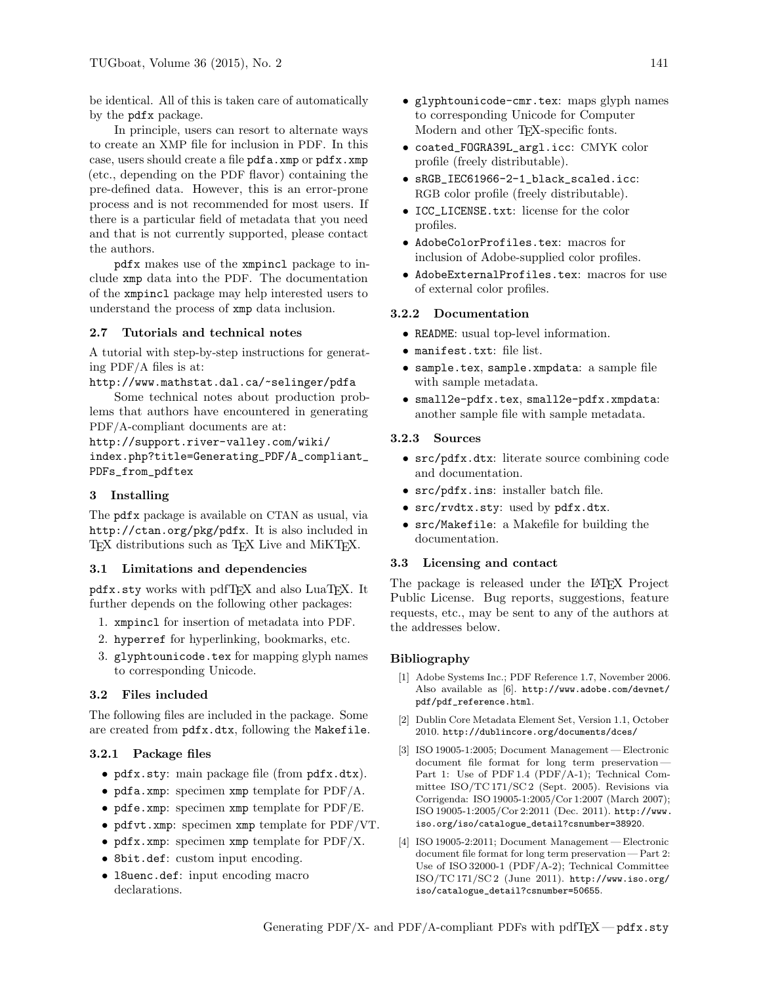be identical. All of this is taken care of automatically by the pdfx package.

In principle, users can resort to alternate ways to create an XMP file for inclusion in PDF. In this case, users should create a file pdfa.xmp or pdfx.xmp (etc., depending on the PDF flavor) containing the pre-defined data. However, this is an error-prone process and is not recommended for most users. If there is a particular field of metadata that you need and that is not currently supported, please contact the authors.

pdfx makes use of the xmpincl package to include xmp data into the PDF. The documentation of the xmpincl package may help interested users to understand the process of xmp data inclusion.

# 2.7 Tutorials and technical notes

A tutorial with step-by-step instructions for generating PDF/A files is at:

<http://www.mathstat.dal.ca/~selinger/pdfa>

Some technical notes about production problems that authors have encountered in generating PDF/A-compliant documents are at:

[http://support.river-valley.com/wiki/](http://support.river-valley.com/wiki/!index.php?title=Generating_PDF/A_compliant_PDFs_from_pdftex) [index.php?title=Generating\\_PDF/A\\_compliant\\_](http://support.river-valley.com/wiki/!index.php?title=Generating_PDF/A_compliant_PDFs_from_pdftex) [PDFs\\_from\\_pdftex](http://support.river-valley.com/wiki/!index.php?title=Generating_PDF/A_compliant_PDFs_from_pdftex)

# 3 Installing

The pdfx package is available on CTAN as usual, via <http://ctan.org/pkg/pdfx>. It is also included in TEX distributions such as TEX Live and MIKTEX.

## 3.1 Limitations and dependencies

pdfx.sty works with pdfTFX and also LuaTFX. It further depends on the following other packages:

- 1. xmpincl for insertion of metadata into PDF.
- 2. hyperref for hyperlinking, bookmarks, etc.
- 3. glyphtounicode.tex for mapping glyph names to corresponding Unicode.

#### 3.2 Files included

The following files are included in the package. Some are created from pdfx.dtx, following the Makefile.

#### 3.2.1 Package files

- pdfx.sty: main package file (from pdfx.dtx).
- pdfa.xmp: specimen xmp template for PDF/A.
- pdfe.xmp: specimen xmp template for PDF/E.
- pdfvt.xmp: specimen xmp template for PDF/VT.
- pdfx.xmp: specimen xmp template for PDF/X.
- 8bit.def: custom input encoding.
- l8uenc.def: input encoding macro declarations.
- glyphtounicode-cmr.tex: maps glyph names to corresponding Unicode for Computer Modern and other TEX-specific fonts.
- coated\_FOGRA39L\_argl.icc: CMYK color profile (freely distributable).
- sRGB\_IEC61966-2-1\_black\_scaled.icc: RGB color profile (freely distributable).
- ICC\_LICENSE.txt: license for the color profiles.
- AdobeColorProfiles.tex: macros for inclusion of Adobe-supplied color profiles.
- AdobeExternalProfiles.tex: macros for use of external color profiles.

#### 3.2.2 Documentation

- README: usual top-level information.
- manifest.txt: file list.
- sample.tex, sample.xmpdata: a sample file with sample metadata.
- small2e-pdfx.tex, small2e-pdfx.xmpdata: another sample file with sample metadata.

#### 3.2.3 Sources

- src/pdfx.dtx: literate source combining code and documentation.
- src/pdfx.ins: installer batch file.
- src/rvdtx.sty: used by pdfx.dtx.
- src/Makefile: a Makefile for building the documentation.

# 3.3 Licensing and contact

The package is released under the LAT<sub>EX</sub> Project Public License. Bug reports, suggestions, feature requests, etc., may be sent to any of the authors at the addresses below.

#### Bibliography

- <span id="page-5-1"></span>[1] Adobe Systems Inc.; PDF Reference 1.7, November 2006. Also available as [\[6\]](#page-6-6). [http://www.adobe.com/devnet/](http://www.adobe.com/devnet/pdf/pdf_reference.html) [pdf/pdf\\_reference.html](http://www.adobe.com/devnet/pdf/pdf_reference.html).
- [2] Dublin Core Metadata Element Set, Version 1.1, October 2010. <http://dublincore.org/documents/dces/>
- <span id="page-5-0"></span>[3] ISO 19005-1:2005; Document Management — Electronic document file format for long term preservation— Part 1: Use of PDF 1.4 (PDF/A-1); Technical Committee ISO/TC 171/SC 2 (Sept. 2005). Revisions via Corrigenda: ISO 19005-1:2005/Cor 1:2007 (March 2007); ISO 19005-1:2005/Cor 2:2011 (Dec. 2011). [http://www.](http://www.iso.org/iso/catalogue_detail?csnumber=38920) [iso.org/iso/catalogue\\_detail?csnumber=38920](http://www.iso.org/iso/catalogue_detail?csnumber=38920).
- [4] ISO 19005-2:2011; Document Management Electronic document file format for long term preservation — Part 2: Use of ISO 32000-1 (PDF/A-2); Technical Committee ISO/TC 171/SC 2 (June 2011). [http://www.iso.org/](http://www.iso.org/iso/catalogue_detail?csnumber=50655) [iso/catalogue\\_detail?csnumber=50655](http://www.iso.org/iso/catalogue_detail?csnumber=50655).